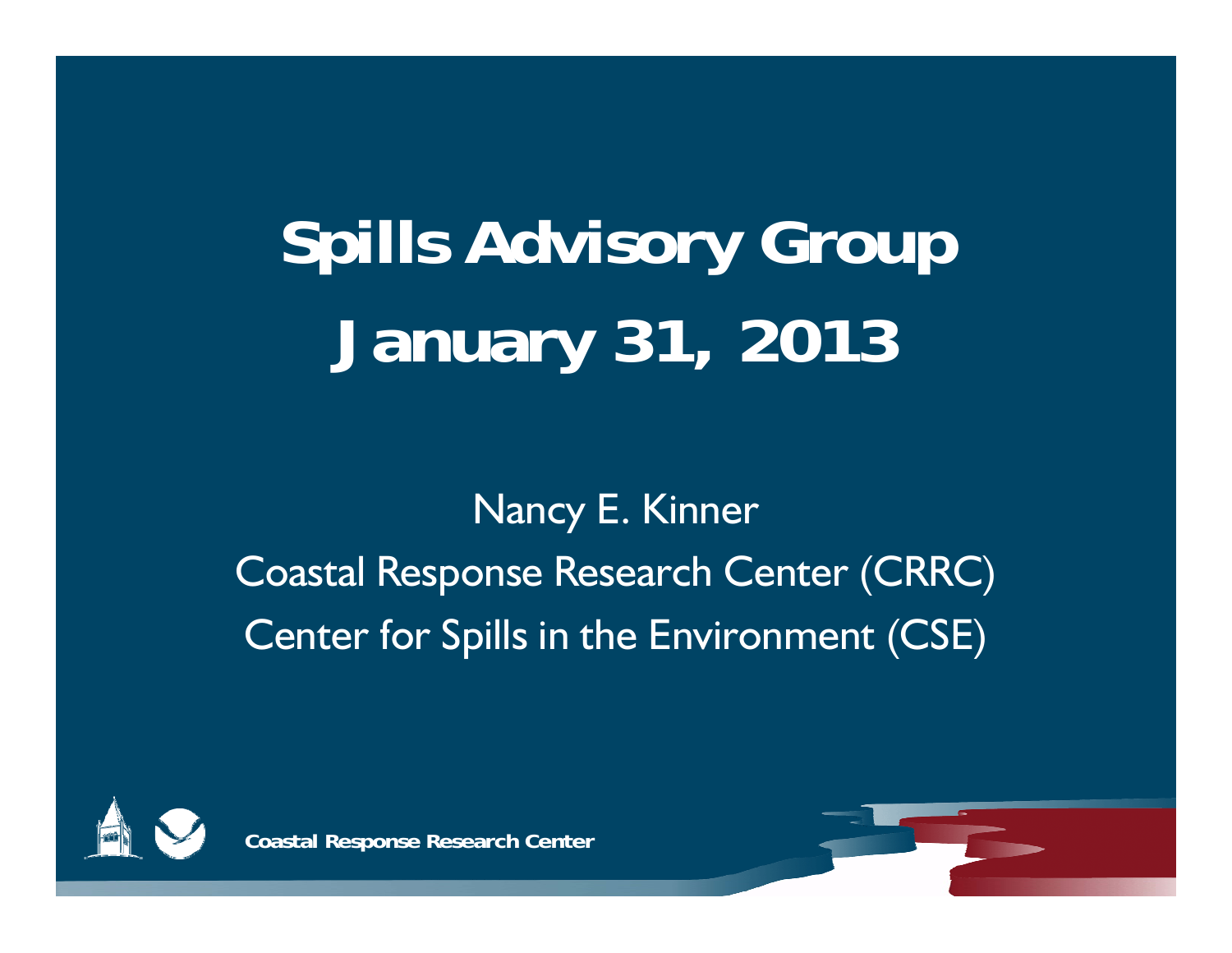# **Spills Advisory Group January 31, 2013**

Nancy E. Kinner Coastal Response Research Center (CRRC) Center for Spills in the Environment (CSE)



**Coastal Response Research Center**

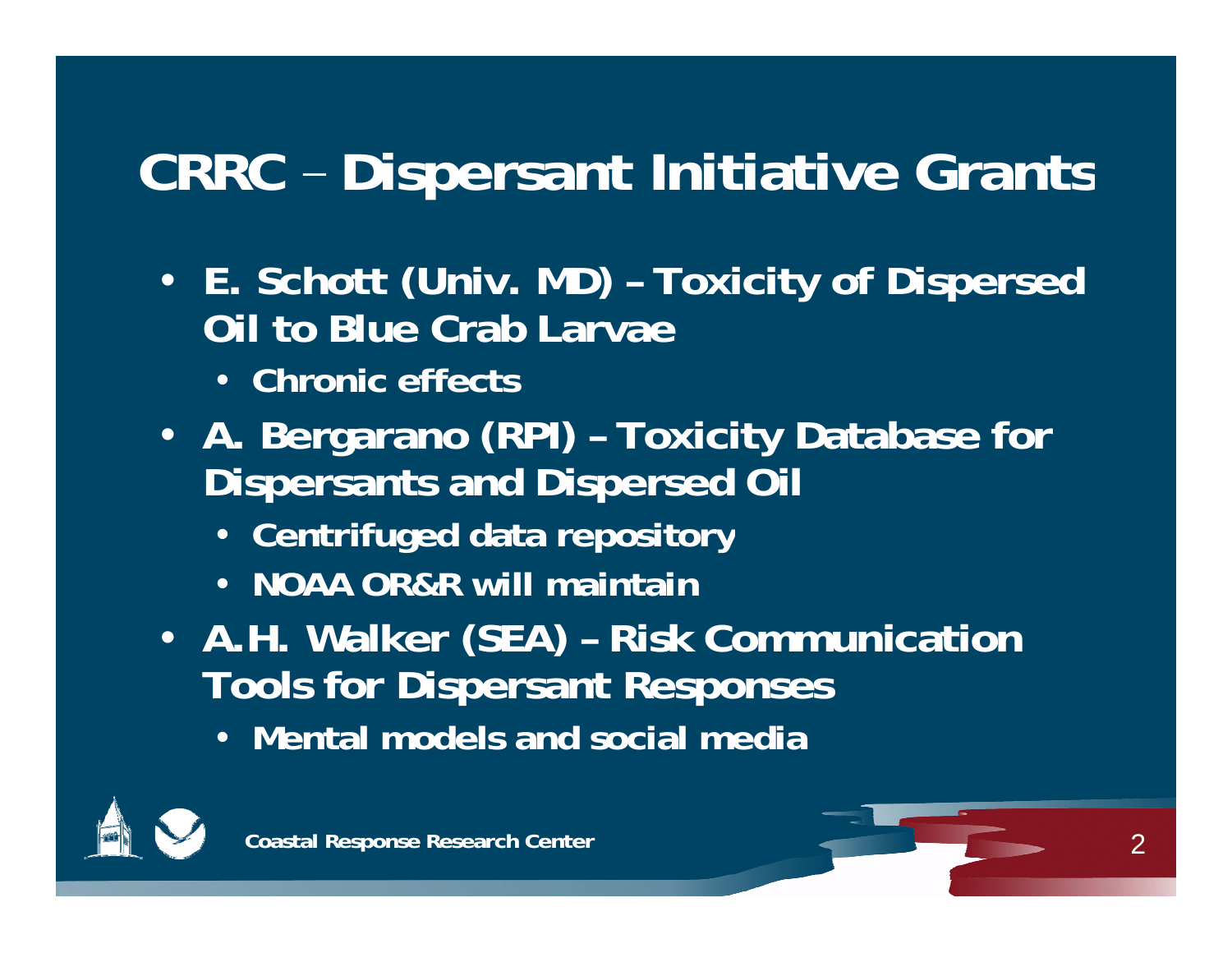## **CRRC – Dispersant Initiative Grants**

- **E. Schott ( ) Univ. MD) – Toxicity p of Dispersed Oil to Blue Crab Larvae**
	- **Chronic effects**
- **A. Bergarano (RPI) – Toxicity Database for Dispersants and Dispersed Oil**
	- **Centrifuged data repository**
	- **NOAA OR&R will maintain**
- **A.H. Walker ( ) SEA – Risk Communication Tools for Dispersant Responses**
	- **Mental models and social media**

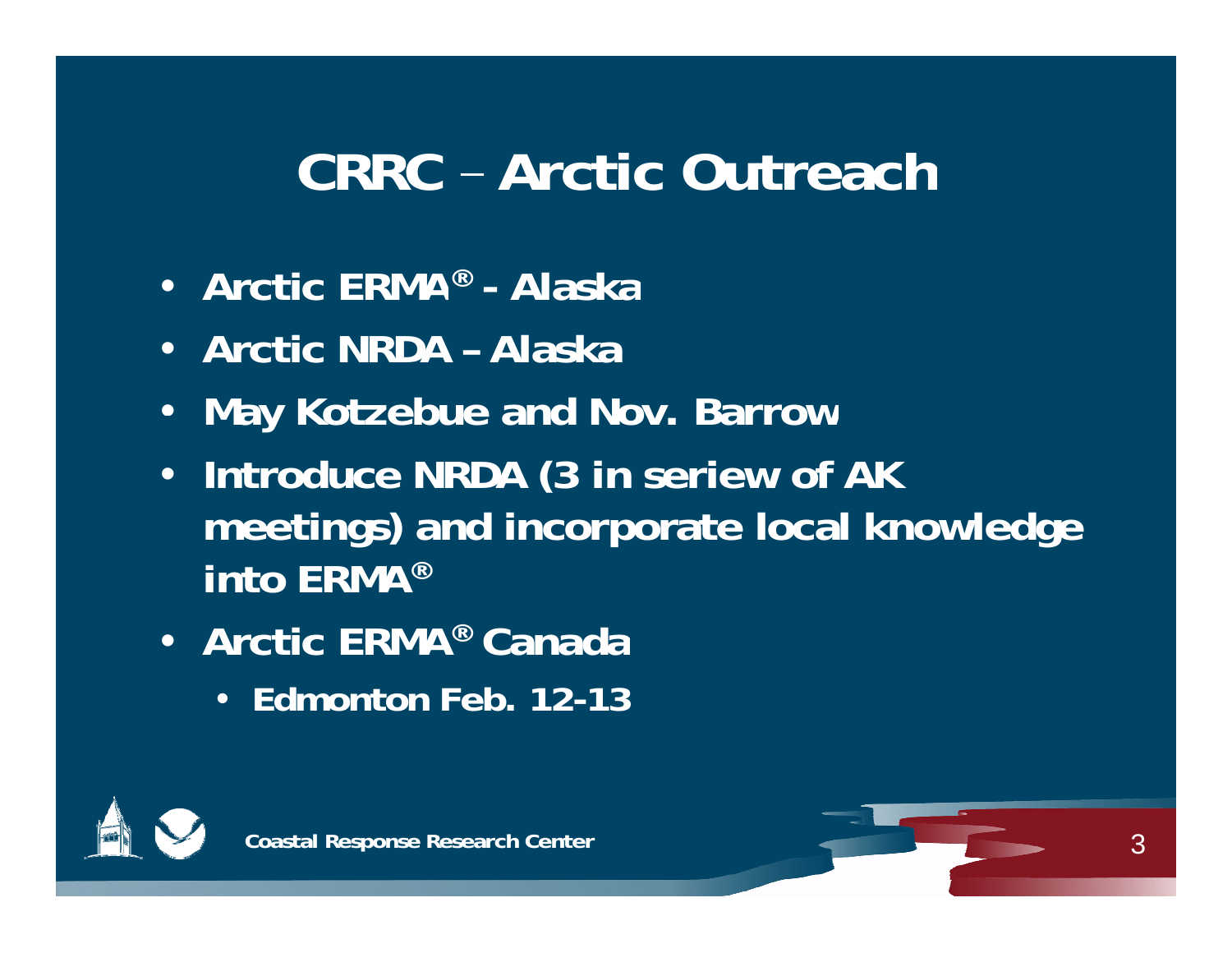#### **CRRC – Arctic Outreach**

- **Arctic ERMA® - Alaska**
- **Arctic NRDA – Alaska**
- •**May Kotzebue and Nov. Barrow**
- **Introduce NRDA (3 in seriew of AK meetings) and incorporate local knowledge into ERMA®**
- **Arctic ERMA® Canada** 
	- **Edmonton Feb. 12-13**



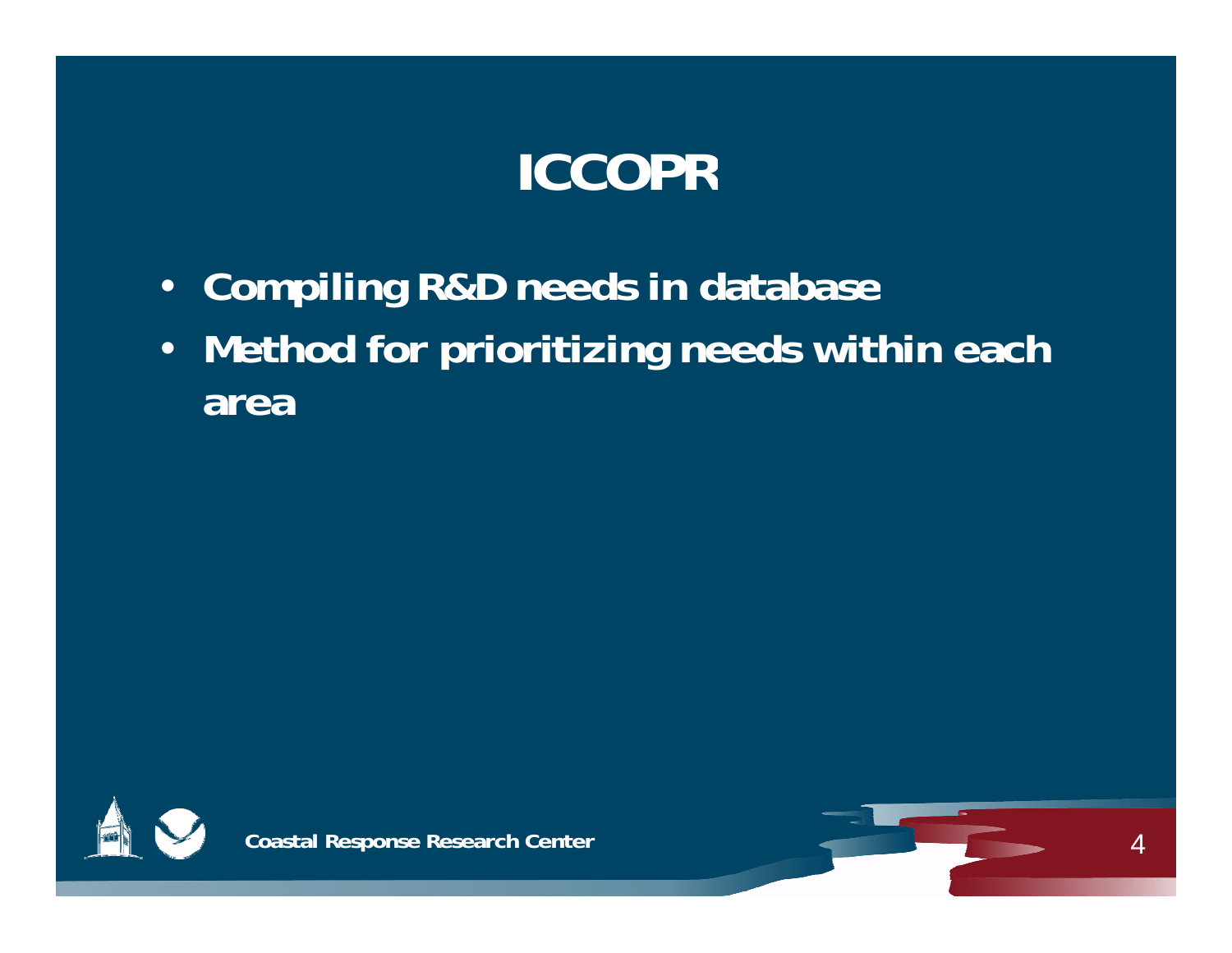# **ICCOPR**

- **Compiling R&D needs in database**
- **Method for prioritizing needs within each area**



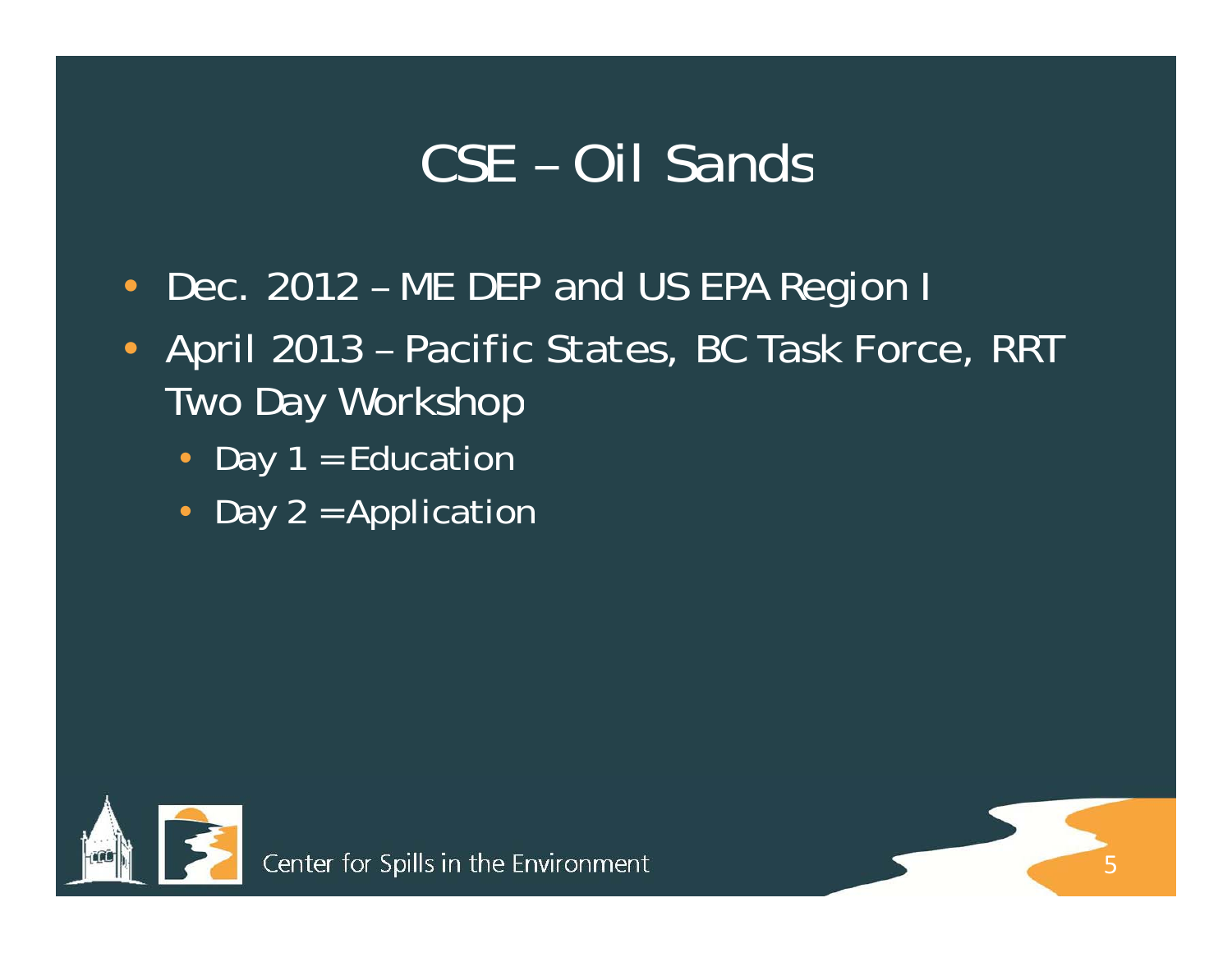### CSE – Oil Sands

- Dec. 2012 ME DEP and US EPA Region I
- April 2013 Pacific States, BC Task Force, RRT Two Day Workshop

5

- Day 1 = Education
- Day 2 = Application

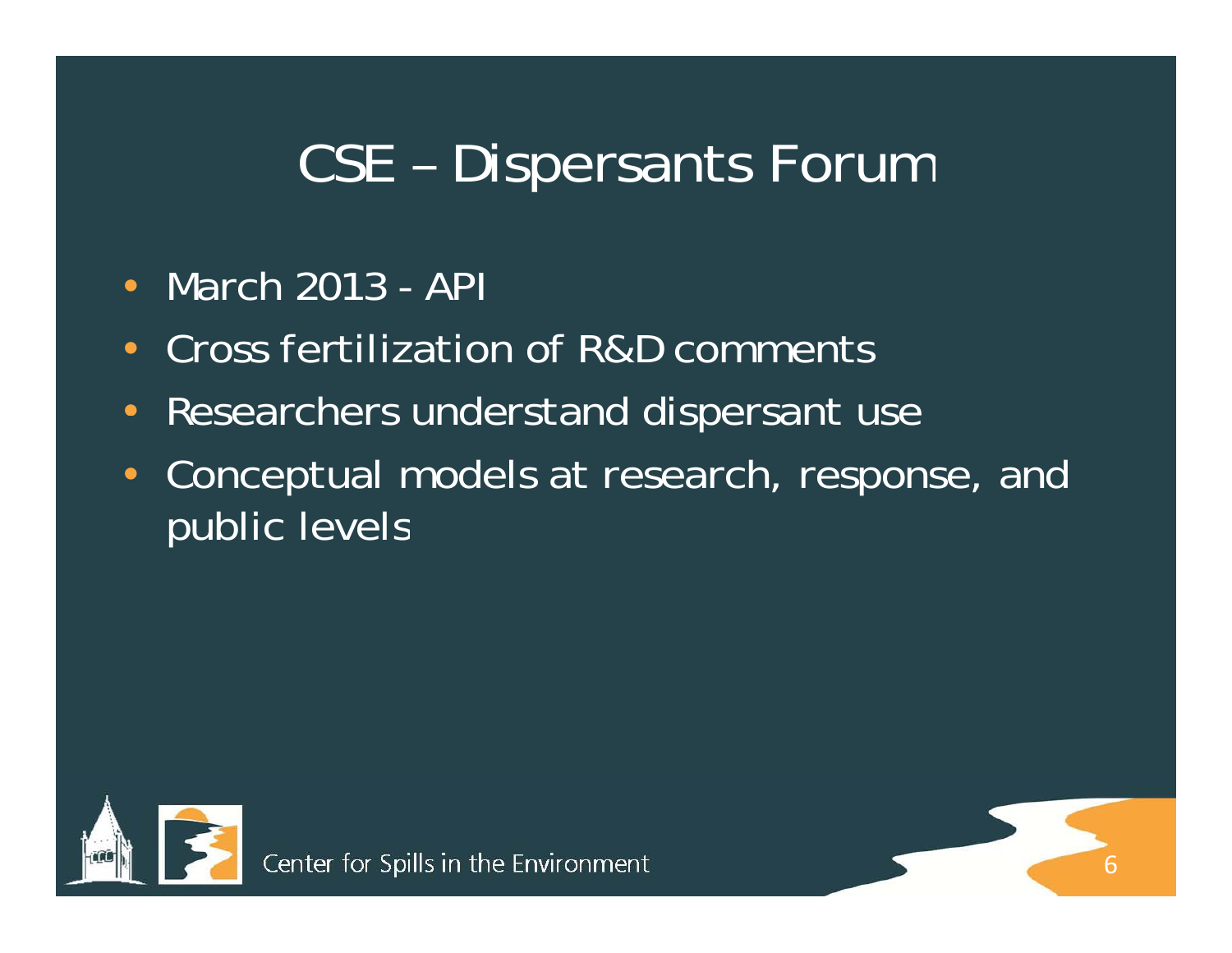#### CSE – Dispersants Forum

- $\bullet$ • March 2013 - API
- •Cross fertilization of R&D comments
- •Researchers understand dispersant use
- • Conceptual models at research, response, and public levels

6